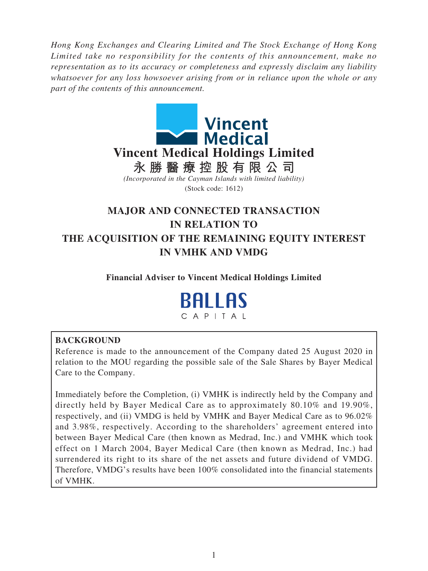*Hong Kong Exchanges and Clearing Limited and The Stock Exchange of Hong Kong Limited take no responsibility for the contents of this announcement, make no representation as to its accuracy or completeness and expressly disclaim any liability whatsoever for any loss howsoever arising from or in reliance upon the whole or any part of the contents of this announcement.*



# **MAJOR AND CONNECTED TRANSACTION IN RELATION TO THE ACQUISITION OF THE REMAINING EQUITY INTEREST IN VMHK AND VMDG**

**Financial Adviser to Vincent Medical Holdings Limited**

**BALLAS** CAPITAL

# **BACKGROUND**

Reference is made to the announcement of the Company dated 25 August 2020 in relation to the MOU regarding the possible sale of the Sale Shares by Bayer Medical Care to the Company.

Immediately before the Completion, (i) VMHK is indirectly held by the Company and directly held by Bayer Medical Care as to approximately 80.10% and 19.90%, respectively, and (ii) VMDG is held by VMHK and Bayer Medical Care as to 96.02% and 3.98%, respectively. According to the shareholders' agreement entered into between Bayer Medical Care (then known as Medrad, Inc.) and VMHK which took effect on 1 March 2004, Bayer Medical Care (then known as Medrad, Inc.) had surrendered its right to its share of the net assets and future dividend of VMDG. Therefore, VMDG's results have been 100% consolidated into the financial statements of VMHK.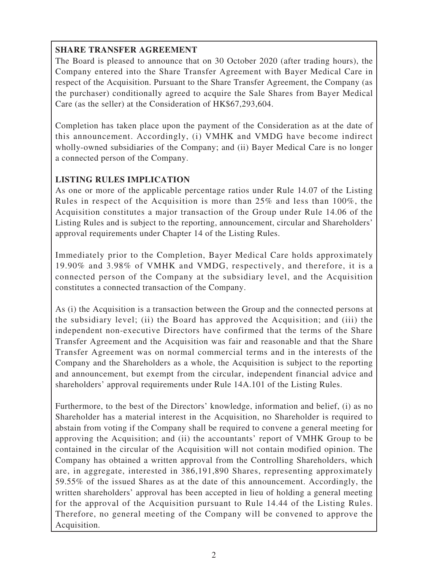# **SHARE TRANSFER AGREEMENT**

The Board is pleased to announce that on 30 October 2020 (after trading hours), the Company entered into the Share Transfer Agreement with Bayer Medical Care in respect of the Acquisition. Pursuant to the Share Transfer Agreement, the Company (as the purchaser) conditionally agreed to acquire the Sale Shares from Bayer Medical Care (as the seller) at the Consideration of HK\$67,293,604.

Completion has taken place upon the payment of the Consideration as at the date of this announcement. Accordingly, (i) VMHK and VMDG have become indirect wholly-owned subsidiaries of the Company; and (ii) Bayer Medical Care is no longer a connected person of the Company.

# **LISTING RULES IMPLICATION**

As one or more of the applicable percentage ratios under Rule 14.07 of the Listing Rules in respect of the Acquisition is more than 25% and less than 100%, the Acquisition constitutes a major transaction of the Group under Rule 14.06 of the Listing Rules and is subject to the reporting, announcement, circular and Shareholders' approval requirements under Chapter 14 of the Listing Rules.

Immediately prior to the Completion, Bayer Medical Care holds approximately 19.90% and 3.98% of VMHK and VMDG, respectively, and therefore, it is a connected person of the Company at the subsidiary level, and the Acquisition constitutes a connected transaction of the Company.

As (i) the Acquisition is a transaction between the Group and the connected persons at the subsidiary level; (ii) the Board has approved the Acquisition; and (iii) the independent non-executive Directors have confirmed that the terms of the Share Transfer Agreement and the Acquisition was fair and reasonable and that the Share Transfer Agreement was on normal commercial terms and in the interests of the Company and the Shareholders as a whole, the Acquisition is subject to the reporting and announcement, but exempt from the circular, independent financial advice and shareholders' approval requirements under Rule 14A.101 of the Listing Rules.

Furthermore, to the best of the Directors' knowledge, information and belief, (i) as no Shareholder has a material interest in the Acquisition, no Shareholder is required to abstain from voting if the Company shall be required to convene a general meeting for approving the Acquisition; and (ii) the accountants' report of VMHK Group to be contained in the circular of the Acquisition will not contain modified opinion. The Company has obtained a written approval from the Controlling Shareholders, which are, in aggregate, interested in 386,191,890 Shares, representing approximately 59.55% of the issued Shares as at the date of this announcement. Accordingly, the written shareholders' approval has been accepted in lieu of holding a general meeting for the approval of the Acquisition pursuant to Rule 14.44 of the Listing Rules. Therefore, no general meeting of the Company will be convened to approve the Acquisition.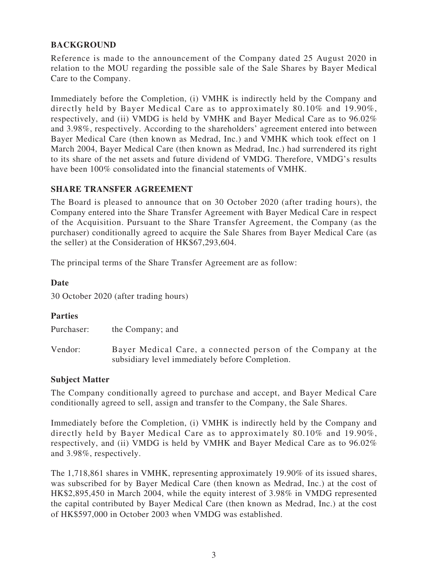## **BACKGROUND**

Reference is made to the announcement of the Company dated 25 August 2020 in relation to the MOU regarding the possible sale of the Sale Shares by Bayer Medical Care to the Company.

Immediately before the Completion, (i) VMHK is indirectly held by the Company and directly held by Bayer Medical Care as to approximately 80.10% and 19.90%, respectively, and (ii) VMDG is held by VMHK and Bayer Medical Care as to 96.02% and 3.98%, respectively. According to the shareholders' agreement entered into between Bayer Medical Care (then known as Medrad, Inc.) and VMHK which took effect on 1 March 2004, Bayer Medical Care (then known as Medrad, Inc.) had surrendered its right to its share of the net assets and future dividend of VMDG. Therefore, VMDG's results have been 100% consolidated into the financial statements of VMHK.

#### **SHARE TRANSFER AGREEMENT**

The Board is pleased to announce that on 30 October 2020 (after trading hours), the Company entered into the Share Transfer Agreement with Bayer Medical Care in respect of the Acquisition. Pursuant to the Share Transfer Agreement, the Company (as the purchaser) conditionally agreed to acquire the Sale Shares from Bayer Medical Care (as the seller) at the Consideration of HK\$67,293,604.

The principal terms of the Share Transfer Agreement are as follow:

#### **Date**

30 October 2020 (after trading hours)

#### **Parties**

Purchaser: the Company; and

Vendor: Bayer Medical Care, a connected person of the Company at the subsidiary level immediately before Completion.

#### **Subject Matter**

The Company conditionally agreed to purchase and accept, and Bayer Medical Care conditionally agreed to sell, assign and transfer to the Company, the Sale Shares.

Immediately before the Completion, (i) VMHK is indirectly held by the Company and directly held by Bayer Medical Care as to approximately 80.10% and 19.90%, respectively, and (ii) VMDG is held by VMHK and Bayer Medical Care as to 96.02% and 3.98%, respectively.

The 1,718,861 shares in VMHK, representing approximately 19.90% of its issued shares, was subscribed for by Bayer Medical Care (then known as Medrad, Inc.) at the cost of HK\$2,895,450 in March 2004, while the equity interest of 3.98% in VMDG represented the capital contributed by Bayer Medical Care (then known as Medrad, Inc.) at the cost of HK\$597,000 in October 2003 when VMDG was established.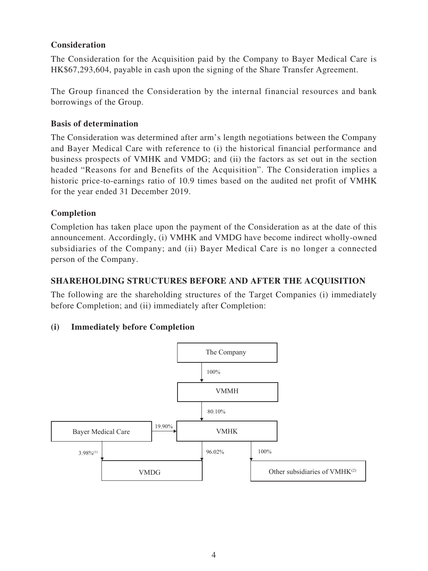## **Consideration**

The Consideration for the Acquisition paid by the Company to Bayer Medical Care is HK\$67,293,604, payable in cash upon the signing of the Share Transfer Agreement.

The Group financed the Consideration by the internal financial resources and bank borrowings of the Group.

#### **Basis of determination**

The Consideration was determined after arm's length negotiations between the Company and Bayer Medical Care with reference to (i) the historical financial performance and business prospects of VMHK and VMDG; and (ii) the factors as set out in the section headed "Reasons for and Benefits of the Acquisition". The Consideration implies a historic price-to-earnings ratio of 10.9 times based on the audited net profit of VMHK for the year ended 31 December 2019.

## **Completion**

Completion has taken place upon the payment of the Consideration as at the date of this announcement. Accordingly, (i) VMHK and VMDG have become indirect wholly-owned subsidiaries of the Company; and (ii) Bayer Medical Care is no longer a connected person of the Company.

## **SHAREHOLDING STRUCTURES BEFORE AND AFTER THE ACQUISITION**

The following are the shareholding structures of the Target Companies (i) immediately before Completion; and (ii) immediately after Completion:

# **(i) Immediately before Completion**

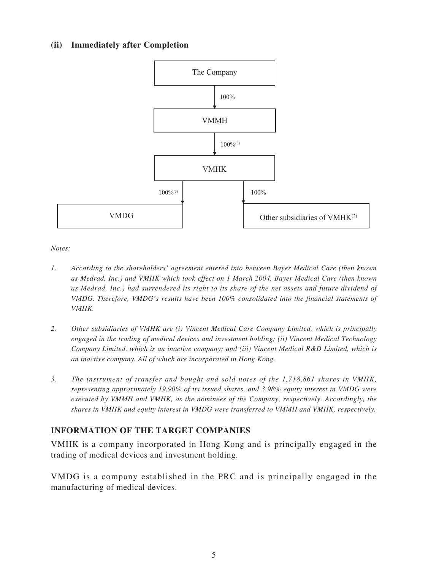## **(ii) Immediately after Completion**



*Notes:*

- *1. According to the shareholders' agreement entered into between Bayer Medical Care (then known as Medrad, Inc.) and VMHK which took effect on 1 March 2004, Bayer Medical Care (then known as Medrad, Inc.) had surrendered its right to its share of the net assets and future dividend of VMDG. Therefore, VMDG's results have been 100% consolidated into the financial statements of VMHK.*
- *2. Other subsidiaries of VMHK are (i) Vincent Medical Care Company Limited, which is principally engaged in the trading of medical devices and investment holding; (ii) Vincent Medical Technology Company Limited, which is an inactive company; and (iii) Vincent Medical R&D Limited, which is an inactive company. All of which are incorporated in Hong Kong.*
- *3. The instrument of transfer and bought and sold notes of the 1,718,861 shares in VMHK, representing approximately 19.90% of its issued shares, and 3.98% equity interest in VMDG were executed by VMMH and VMHK, as the nominees of the Company, respectively. Accordingly, the shares in VMHK and equity interest in VMDG were transferred to VMMH and VMHK, respectively.*

# **INFORMATION OF THE TARGET COMPANIES**

VMHK is a company incorporated in Hong Kong and is principally engaged in the trading of medical devices and investment holding.

VMDG is a company established in the PRC and is principally engaged in the manufacturing of medical devices.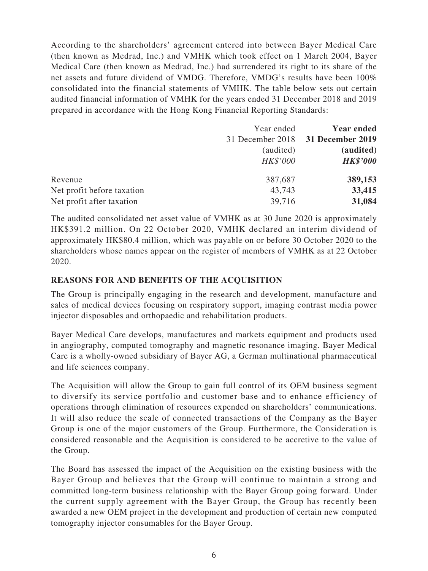According to the shareholders' agreement entered into between Bayer Medical Care (then known as Medrad, Inc.) and VMHK which took effect on 1 March 2004, Bayer Medical Care (then known as Medrad, Inc.) had surrendered its right to its share of the net assets and future dividend of VMDG. Therefore, VMDG's results have been 100% consolidated into the financial statements of VMHK. The table below sets out certain audited financial information of VMHK for the years ended 31 December 2018 and 2019 prepared in accordance with the Hong Kong Financial Reporting Standards:

|                            | Year ended                        | <b>Year ended</b> |
|----------------------------|-----------------------------------|-------------------|
|                            | 31 December 2018 31 December 2019 |                   |
|                            | (audited)                         | (audited)         |
|                            | HK\$'000                          | <b>HK\$'000</b>   |
| Revenue                    | 387,687                           | 389,153           |
| Net profit before taxation | 43,743                            | 33,415            |
| Net profit after taxation  | 39,716                            | 31,084            |

The audited consolidated net asset value of VMHK as at 30 June 2020 is approximately HK\$391.2 million. On 22 October 2020, VMHK declared an interim dividend of approximately HK\$80.4 million, which was payable on or before 30 October 2020 to the shareholders whose names appear on the register of members of VMHK as at 22 October 2020.

## **REASONS FOR AND BENEFITS OF THE ACQUISITION**

The Group is principally engaging in the research and development, manufacture and sales of medical devices focusing on respiratory support, imaging contrast media power injector disposables and orthopaedic and rehabilitation products.

Bayer Medical Care develops, manufactures and markets equipment and products used in angiography, computed tomography and magnetic resonance imaging. Bayer Medical Care is a wholly-owned subsidiary of Bayer AG, a German multinational pharmaceutical and life sciences company.

The Acquisition will allow the Group to gain full control of its OEM business segment to diversify its service portfolio and customer base and to enhance efficiency of operations through elimination of resources expended on shareholders' communications. It will also reduce the scale of connected transactions of the Company as the Bayer Group is one of the major customers of the Group. Furthermore, the Consideration is considered reasonable and the Acquisition is considered to be accretive to the value of the Group.

The Board has assessed the impact of the Acquisition on the existing business with the Bayer Group and believes that the Group will continue to maintain a strong and committed long-term business relationship with the Bayer Group going forward. Under the current supply agreement with the Bayer Group, the Group has recently been awarded a new OEM project in the development and production of certain new computed tomography injector consumables for the Bayer Group.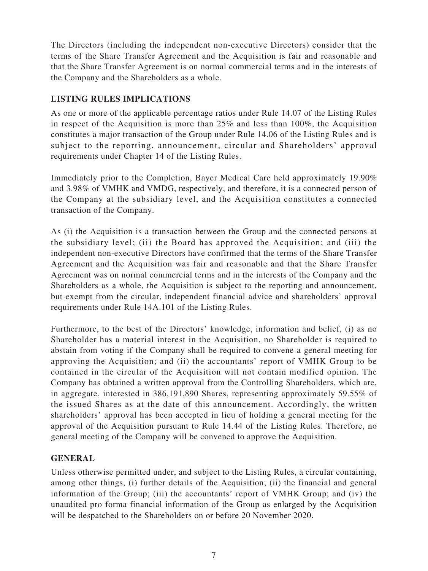The Directors (including the independent non-executive Directors) consider that the terms of the Share Transfer Agreement and the Acquisition is fair and reasonable and that the Share Transfer Agreement is on normal commercial terms and in the interests of the Company and the Shareholders as a whole.

## **LISTING RULES IMPLICATIONS**

As one or more of the applicable percentage ratios under Rule 14.07 of the Listing Rules in respect of the Acquisition is more than 25% and less than 100%, the Acquisition constitutes a major transaction of the Group under Rule 14.06 of the Listing Rules and is subject to the reporting, announcement, circular and Shareholders' approval requirements under Chapter 14 of the Listing Rules.

Immediately prior to the Completion, Bayer Medical Care held approximately 19.90% and 3.98% of VMHK and VMDG, respectively, and therefore, it is a connected person of the Company at the subsidiary level, and the Acquisition constitutes a connected transaction of the Company.

As (i) the Acquisition is a transaction between the Group and the connected persons at the subsidiary level; (ii) the Board has approved the Acquisition; and (iii) the independent non-executive Directors have confirmed that the terms of the Share Transfer Agreement and the Acquisition was fair and reasonable and that the Share Transfer Agreement was on normal commercial terms and in the interests of the Company and the Shareholders as a whole, the Acquisition is subject to the reporting and announcement, but exempt from the circular, independent financial advice and shareholders' approval requirements under Rule 14A.101 of the Listing Rules.

Furthermore, to the best of the Directors' knowledge, information and belief, (i) as no Shareholder has a material interest in the Acquisition, no Shareholder is required to abstain from voting if the Company shall be required to convene a general meeting for approving the Acquisition; and (ii) the accountants' report of VMHK Group to be contained in the circular of the Acquisition will not contain modified opinion. The Company has obtained a written approval from the Controlling Shareholders, which are, in aggregate, interested in 386,191,890 Shares, representing approximately 59.55% of the issued Shares as at the date of this announcement. Accordingly, the written shareholders' approval has been accepted in lieu of holding a general meeting for the approval of the Acquisition pursuant to Rule 14.44 of the Listing Rules. Therefore, no general meeting of the Company will be convened to approve the Acquisition.

# **GENERAL**

Unless otherwise permitted under, and subject to the Listing Rules, a circular containing, among other things, (i) further details of the Acquisition; (ii) the financial and general information of the Group; (iii) the accountants' report of VMHK Group; and (iv) the unaudited pro forma financial information of the Group as enlarged by the Acquisition will be despatched to the Shareholders on or before 20 November 2020.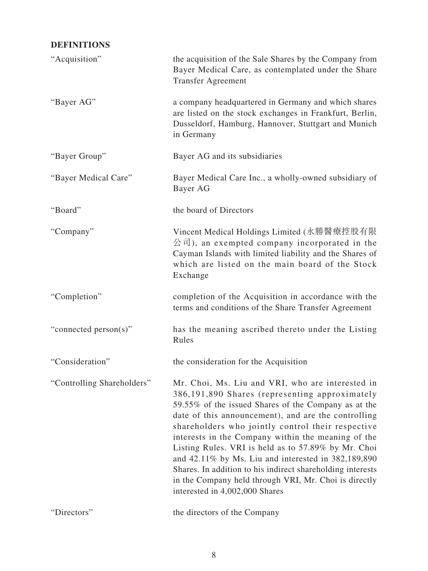# **DEFINITIONS**

| "Acquisition"              | the acquisition of the Sale Shares by the Company from<br>Bayer Medical Care, as contemplated under the Share<br><b>Transfer Agreement</b>                                                                                                                                                                                                                                                                                                                                                                                                                                                               |
|----------------------------|----------------------------------------------------------------------------------------------------------------------------------------------------------------------------------------------------------------------------------------------------------------------------------------------------------------------------------------------------------------------------------------------------------------------------------------------------------------------------------------------------------------------------------------------------------------------------------------------------------|
| "Bayer AG"                 | a company headquartered in Germany and which shares<br>are listed on the stock exchanges in Frankfurt, Berlin,<br>Dusseldorf, Hamburg, Hannover, Stuttgart and Munich<br>in Germany                                                                                                                                                                                                                                                                                                                                                                                                                      |
| "Bayer Group"              | Bayer AG and its subsidiaries                                                                                                                                                                                                                                                                                                                                                                                                                                                                                                                                                                            |
| "Bayer Medical Care"       | Bayer Medical Care Inc., a wholly-owned subsidiary of<br>Bayer AG                                                                                                                                                                                                                                                                                                                                                                                                                                                                                                                                        |
| "Board"                    | the board of Directors                                                                                                                                                                                                                                                                                                                                                                                                                                                                                                                                                                                   |
| "Company"                  | Vincent Medical Holdings Limited (永勝醫療控股有限<br>公司), an exempted company incorporated in the<br>Cayman Islands with limited liability and the Shares of<br>which are listed on the main board of the Stock<br>Exchange                                                                                                                                                                                                                                                                                                                                                                                     |
| "Completion"               | completion of the Acquisition in accordance with the<br>terms and conditions of the Share Transfer Agreement                                                                                                                                                                                                                                                                                                                                                                                                                                                                                             |
| "connected person(s)"      | has the meaning ascribed thereto under the Listing<br>Rules                                                                                                                                                                                                                                                                                                                                                                                                                                                                                                                                              |
| "Consideration"            | the consideration for the Acquisition                                                                                                                                                                                                                                                                                                                                                                                                                                                                                                                                                                    |
| "Controlling Shareholders" | Mr. Choi, Ms. Liu and VRI, who are interested in<br>386,191,890 Shares (representing approximately<br>59.55% of the issued Shares of the Company as at the<br>date of this announcement), and are the controlling<br>shareholders who jointly control their respective<br>interests in the Company within the meaning of the<br>Listing Rules. VRI is held as to 57.89% by Mr. Choi<br>and $42.11\%$ by Ms. Liu and interested in $382,189,890$<br>Shares. In addition to his indirect shareholding interests<br>in the Company held through VRI, Mr. Choi is directly<br>interested in 4,002,000 Shares |
| "Directors"                | the directors of the Company                                                                                                                                                                                                                                                                                                                                                                                                                                                                                                                                                                             |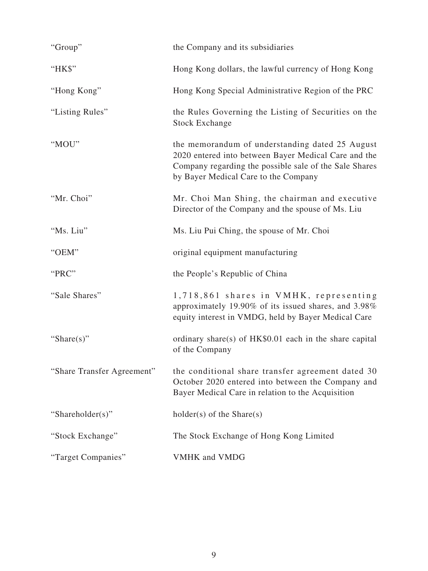| "Group"                    | the Company and its subsidiaries                                                                                                                                                                          |
|----------------------------|-----------------------------------------------------------------------------------------------------------------------------------------------------------------------------------------------------------|
| "HK\$"                     | Hong Kong dollars, the lawful currency of Hong Kong                                                                                                                                                       |
| "Hong Kong"                | Hong Kong Special Administrative Region of the PRC                                                                                                                                                        |
| "Listing Rules"            | the Rules Governing the Listing of Securities on the<br><b>Stock Exchange</b>                                                                                                                             |
| "MOU"                      | the memorandum of understanding dated 25 August<br>2020 entered into between Bayer Medical Care and the<br>Company regarding the possible sale of the Sale Shares<br>by Bayer Medical Care to the Company |
| "Mr. Choi"                 | Mr. Choi Man Shing, the chairman and executive<br>Director of the Company and the spouse of Ms. Liu                                                                                                       |
| "Ms. Liu"                  | Ms. Liu Pui Ching, the spouse of Mr. Choi                                                                                                                                                                 |
| "OEM"                      | original equipment manufacturing                                                                                                                                                                          |
| "PRC"                      | the People's Republic of China                                                                                                                                                                            |
| "Sale Shares"              | 1,718,861 shares in VMHK, representing<br>approximately 19.90% of its issued shares, and 3.98%<br>equity interest in VMDG, held by Bayer Medical Care                                                     |
| "Share $(s)$ "             | ordinary share(s) of HK\$0.01 each in the share capital<br>of the Company                                                                                                                                 |
| "Share Transfer Agreement" | the conditional share transfer agreement dated 30<br>October 2020 entered into between the Company and<br>Bayer Medical Care in relation to the Acquisition                                               |
| "Shareholder(s)"           | $holder(s)$ of the Share $(s)$                                                                                                                                                                            |
| "Stock Exchange"           | The Stock Exchange of Hong Kong Limited                                                                                                                                                                   |
| "Target Companies"         | <b>VMHK</b> and <b>VMDG</b>                                                                                                                                                                               |